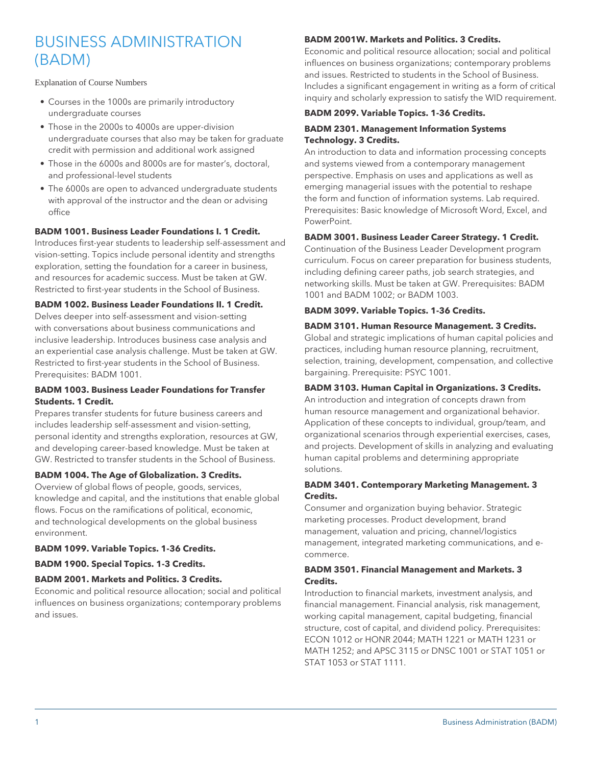# BUSINESS ADMINISTRATION (BADM)

Explanation of Course Numbers

- Courses in the 1000s are primarily introductory undergraduate courses
- Those in the 2000s to 4000s are upper-division undergraduate courses that also may be taken for graduate credit with permission and additional work assigned
- Those in the 6000s and 8000s are for master's, doctoral, and professional-level students
- The 6000s are open to advanced undergraduate students with approval of the instructor and the dean or advising office

# **BADM 1001. Business Leader Foundations I. 1 Credit.**

Introduces first-year students to leadership self-assessment and vision-setting. Topics include personal identity and strengths exploration, setting the foundation for a career in business, and resources for academic success. Must be taken at GW. Restricted to first-year students in the School of Business.

# **BADM 1002. Business Leader Foundations II. 1 Credit.**

Delves deeper into self-assessment and vision-setting with conversations about business communications and inclusive leadership. Introduces business case analysis and an experiential case analysis challenge. Must be taken at GW. Restricted to first-year students in the School of Business. Prerequisites: BADM 1001.

## **BADM 1003. Business Leader Foundations for Transfer Students. 1 Credit.**

Prepares transfer students for future business careers and includes leadership self-assessment and vision-setting, personal identity and strengths exploration, resources at GW, and developing career-based knowledge. Must be taken at GW. Restricted to transfer students in the School of Business.

#### **BADM 1004. The Age of Globalization. 3 Credits.**

Overview of global flows of people, goods, services, knowledge and capital, and the institutions that enable global flows. Focus on the ramifications of political, economic, and technological developments on the global business environment.

# **BADM 1099. Variable Topics. 1-36 Credits.**

#### **BADM 1900. Special Topics. 1-3 Credits.**

#### **BADM 2001. Markets and Politics. 3 Credits.**

Economic and political resource allocation; social and political influences on business organizations; contemporary problems and issues.

# **BADM 2001W. Markets and Politics. 3 Credits.**

Economic and political resource allocation; social and political influences on business organizations; contemporary problems and issues. Restricted to students in the School of Business. Includes a significant engagement in writing as a form of critical inquiry and scholarly expression to satisfy the WID requirement.

# **BADM 2099. Variable Topics. 1-36 Credits.**

## **BADM 2301. Management Information Systems Technology. 3 Credits.**

An introduction to data and information processing concepts and systems viewed from a contemporary management perspective. Emphasis on uses and applications as well as emerging managerial issues with the potential to reshape the form and function of information systems. Lab required. Prerequisites: Basic knowledge of Microsoft Word, Excel, and PowerPoint.

## **BADM 3001. Business Leader Career Strategy. 1 Credit.**

Continuation of the Business Leader Development program curriculum. Focus on career preparation for business students, including defining career paths, job search strategies, and networking skills. Must be taken at GW. Prerequisites: BADM 1001 and BADM 1002; or BADM 1003.

## **BADM 3099. Variable Topics. 1-36 Credits.**

## **BADM 3101. Human Resource Management. 3 Credits.**

Global and strategic implications of human capital policies and practices, including human resource planning, recruitment, selection, training, development, compensation, and collective bargaining. Prerequisite: PSYC 1001.

# **BADM 3103. Human Capital in Organizations. 3 Credits.**

An introduction and integration of concepts drawn from human resource management and organizational behavior. Application of these concepts to individual, group/team, and organizational scenarios through experiential exercises, cases, and projects. Development of skills in analyzing and evaluating human capital problems and determining appropriate solutions.

# **BADM 3401. Contemporary Marketing Management. 3 Credits.**

Consumer and organization buying behavior. Strategic marketing processes. Product development, brand management, valuation and pricing, channel/logistics management, integrated marketing communications, and ecommerce.

# **BADM 3501. Financial Management and Markets. 3 Credits.**

Introduction to financial markets, investment analysis, and financial management. Financial analysis, risk management, working capital management, capital budgeting, financial structure, cost of capital, and dividend policy. Prerequisites: ECON 1012 or HONR 2044; MATH 1221 or MATH 1231 or MATH 1252; and APSC 3115 or DNSC 1001 or STAT 1051 or STAT 1053 or STAT 1111.